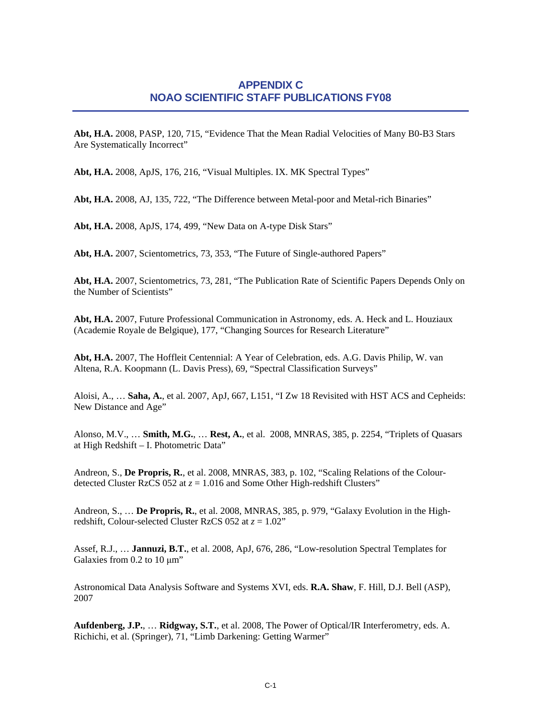## **APPENDIX C NOAO SCIENTIFIC STAFF PUBLICATIONS FY08**

**Abt, H.A.** 2008, PASP, 120, 715, "Evidence That the Mean Radial Velocities of Many B0-B3 Stars Are Systematically Incorrect"

**Abt, H.A.** 2008, ApJS, 176, 216, "Visual Multiples. IX. MK Spectral Types"

**Abt, H.A.** 2008, AJ, 135, 722, "The Difference between Metal-poor and Metal-rich Binaries"

**Abt, H.A.** 2008, ApJS, 174, 499, "New Data on A-type Disk Stars"

**Abt, H.A.** 2007, Scientometrics, 73, 353, "The Future of Single-authored Papers"

**Abt, H.A.** 2007, Scientometrics, 73, 281, "The Publication Rate of Scientific Papers Depends Only on the Number of Scientists"

**Abt, H.A.** 2007, Future Professional Communication in Astronomy, eds. A. Heck and L. Houziaux (Academie Royale de Belgique), 177, "Changing Sources for Research Literature"

**Abt, H.A.** 2007, The Hoffleit Centennial: A Year of Celebration, eds. A.G. Davis Philip, W. van Altena, R.A. Koopmann (L. Davis Press), 69, "Spectral Classification Surveys"

Aloisi, A., … **Saha, A.**, et al. 2007, ApJ, 667, L151, "I Zw 18 Revisited with HST ACS and Cepheids: New Distance and Age"

Alonso, M.V., … **Smith, M.G.**, … **Rest, A.**, et al. 2008, MNRAS, 385, p. 2254, "Triplets of Quasars at High Redshift – I. Photometric Data"

Andreon, S., **De Propris, R.**, et al. 2008, MNRAS, 383, p. 102, "Scaling Relations of the Colourdetected Cluster RzCS 052 at  $z = 1.016$  and Some Other High-redshift Clusters"

Andreon, S., … **De Propris, R.**, et al. 2008, MNRAS, 385, p. 979, "Galaxy Evolution in the Highredshift, Colour-selected Cluster RzCS 052 at  $z = 1.02$ "

Assef, R.J., … **Jannuzi, B.T.**, et al. 2008, ApJ, 676, 286, "Low-resolution Spectral Templates for Galaxies from 0.2 to 10 μm"

Astronomical Data Analysis Software and Systems XVI, eds. **R.A. Shaw**, F. Hill, D.J. Bell (ASP), 2007

**Aufdenberg, J.P.**, … **Ridgway, S.T.**, et al. 2008, The Power of Optical/IR Interferometry, eds. A. Richichi, et al. (Springer), 71, "Limb Darkening: Getting Warmer"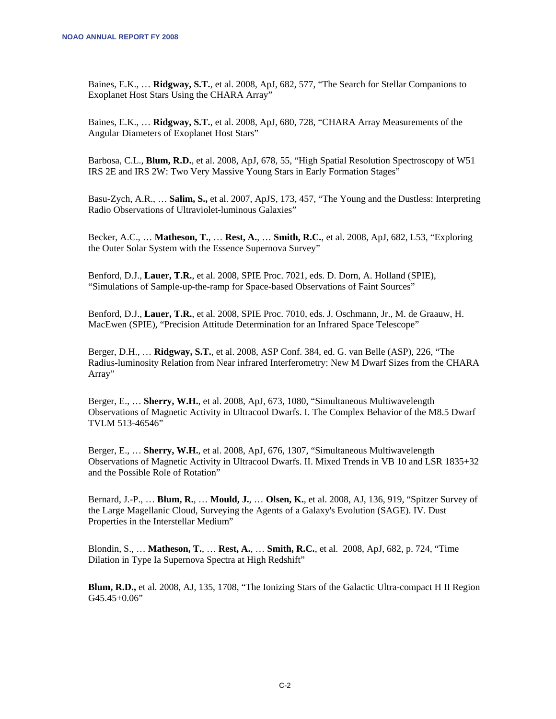Baines, E.K., … **Ridgway, S.T.**, et al. 2008, ApJ, 682, 577, "The Search for Stellar Companions to Exoplanet Host Stars Using the CHARA Array"

Baines, E.K., … **Ridgway, S.T.**, et al. 2008, ApJ, 680, 728, "CHARA Array Measurements of the Angular Diameters of Exoplanet Host Stars"

Barbosa, C.L., **Blum, R.D.**, et al. 2008, ApJ, 678, 55, "High Spatial Resolution Spectroscopy of W51 IRS 2E and IRS 2W: Two Very Massive Young Stars in Early Formation Stages"

Basu-Zych, A.R., … **Salim, S.,** et al. 2007, ApJS, 173, 457, "The Young and the Dustless: Interpreting Radio Observations of Ultraviolet-luminous Galaxies"

Becker, A.C., … **Matheson, T.**, … **Rest, A.**, … **Smith, R.C.**, et al. 2008, ApJ, 682, L53, "Exploring the Outer Solar System with the Essence Supernova Survey"

Benford, D.J., **Lauer, T.R.**, et al. 2008, SPIE Proc. 7021, eds. D. Dorn, A. Holland (SPIE), "Simulations of Sample-up-the-ramp for Space-based Observations of Faint Sources"

Benford, D.J., **Lauer, T.R.**, et al. 2008, SPIE Proc. 7010, eds. J. Oschmann, Jr., M. de Graauw, H. MacEwen (SPIE), "Precision Attitude Determination for an Infrared Space Telescope"

Berger, D.H., … **Ridgway, S.T.**, et al. 2008, ASP Conf. 384, ed. G. van Belle (ASP), 226, "The Radius-luminosity Relation from Near infrared Interferometry: New M Dwarf Sizes from the CHARA Array"

Berger, E., … **Sherry, W.H.**, et al. 2008, ApJ, 673, 1080, "Simultaneous Multiwavelength Observations of Magnetic Activity in Ultracool Dwarfs. I. The Complex Behavior of the M8.5 Dwarf TVLM 513-46546"

Berger, E., … **Sherry, W.H.**, et al. 2008, ApJ, 676, 1307, "Simultaneous Multiwavelength Observations of Magnetic Activity in Ultracool Dwarfs. II. Mixed Trends in VB 10 and LSR 1835+32 and the Possible Role of Rotation"

Bernard, J.-P., … **Blum, R.**, … **Mould, J.**, … **Olsen, K.**, et al. 2008, AJ, 136, 919, "Spitzer Survey of the Large Magellanic Cloud, Surveying the Agents of a Galaxy's Evolution (SAGE). IV. Dust Properties in the Interstellar Medium"

Blondin, S., … **Matheson, T.**, … **Rest, A.**, … **Smith, R.C.**, et al. 2008, ApJ, 682, p. 724, "Time Dilation in Type Ia Supernova Spectra at High Redshift"

**Blum, R.D.,** et al. 2008, AJ, 135, 1708, "The Ionizing Stars of the Galactic Ultra-compact H II Region G45.45+0.06"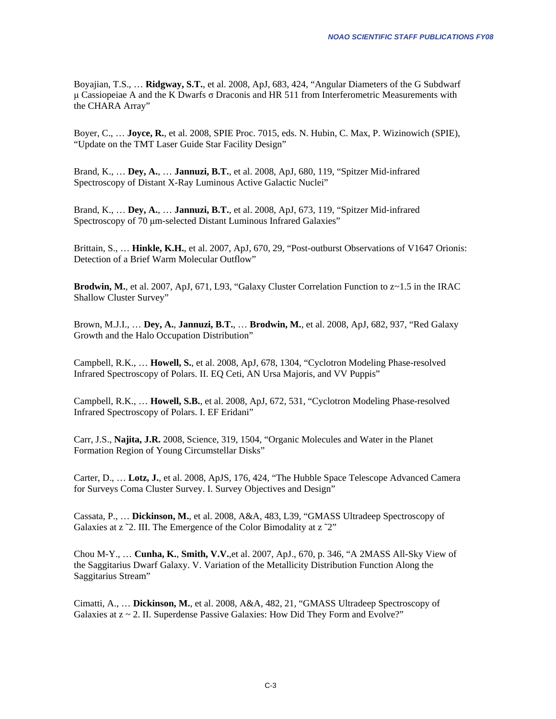Boyajian, T.S., … **Ridgway, S.T.**, et al. 2008, ApJ, 683, 424, "Angular Diameters of the G Subdwarf μ Cassiopeiae A and the K Dwarfs  $\sigma$  Draconis and HR 511 from Interferometric Measurements with the CHARA Array"

Boyer, C., … **Joyce, R.**, et al. 2008, SPIE Proc. 7015, eds. N. Hubin, C. Max, P. Wizinowich (SPIE), "Update on the TMT Laser Guide Star Facility Design"

Brand, K., … **Dey, A.**, … **Jannuzi, B.T.**, et al. 2008, ApJ, 680, 119, "Spitzer Mid-infrared Spectroscopy of Distant X-Ray Luminous Active Galactic Nuclei"

Brand, K., … **Dey, A.**, … **Jannuzi, B.T.**, et al. 2008, ApJ, 673, 119, "Spitzer Mid-infrared Spectroscopy of 70 μm-selected Distant Luminous Infrared Galaxies"

Brittain, S., … **Hinkle, K.H.**, et al. 2007, ApJ, 670, 29, "Post-outburst Observations of V1647 Orionis: Detection of a Brief Warm Molecular Outflow"

**Brodwin, M.,** et al. 2007, ApJ, 671, L93, "Galaxy Cluster Correlation Function to  $z \sim 1.5$  in the IRAC Shallow Cluster Survey"

Brown, M.J.I., … **Dey, A.**, **Jannuzi, B.T.**, … **Brodwin, M.**, et al. 2008, ApJ, 682, 937, "Red Galaxy Growth and the Halo Occupation Distribution"

Campbell, R.K., … **Howell, S.**, et al. 2008, ApJ, 678, 1304, "Cyclotron Modeling Phase-resolved Infrared Spectroscopy of Polars. II. EQ Ceti, AN Ursa Majoris, and VV Puppis"

Campbell, R.K., … **Howell, S.B.**, et al. 2008, ApJ, 672, 531, "Cyclotron Modeling Phase-resolved Infrared Spectroscopy of Polars. I. EF Eridani"

Carr, J.S., **Najita, J.R.** 2008, Science, 319, 1504, "Organic Molecules and Water in the Planet Formation Region of Young Circumstellar Disks"

Carter, D., … **Lotz, J.**, et al. 2008, ApJS, 176, 424, "The Hubble Space Telescope Advanced Camera for Surveys Coma Cluster Survey. I. Survey Objectives and Design"

Cassata, P., … **Dickinson, M.**, et al. 2008, A&A, 483, L39, "GMASS Ultradeep Spectroscopy of Galaxies at z ~2. III. The Emergence of the Color Bimodality at z ~2"

Chou M-Y., … **Cunha, K.**, **Smith, V.V.**,et al. 2007, ApJ., 670, p. 346, "A 2MASS All-Sky View of the Saggitarius Dwarf Galaxy. V. Variation of the Metallicity Distribution Function Along the Saggitarius Stream"

Cimatti, A., … **Dickinson, M.**, et al. 2008, A&A, 482, 21, "GMASS Ultradeep Spectroscopy of Galaxies at z ~ 2. II. Superdense Passive Galaxies: How Did They Form and Evolve?"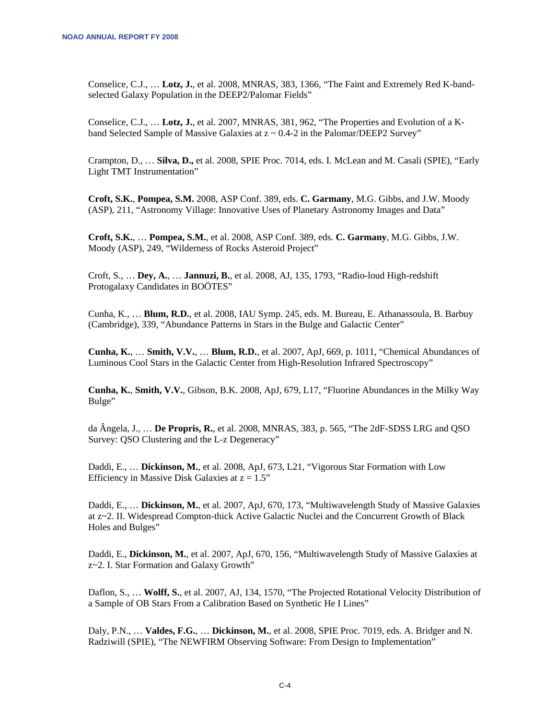Conselice, C.J., … **Lotz, J.**, et al. 2008, MNRAS, 383, 1366, "The Faint and Extremely Red K-bandselected Galaxy Population in the DEEP2/Palomar Fields"

Conselice, C.J., … **Lotz, J.**, et al. 2007, MNRAS, 381, 962, "The Properties and Evolution of a Kband Selected Sample of Massive Galaxies at  $z \sim 0.4$ -2 in the Palomar/DEEP2 Survey"

Crampton, D., … **Silva, D.,** et al. 2008, SPIE Proc. 7014, eds. I. McLean and M. Casali (SPIE), "Early Light TMT Instrumentation"

**Croft, S.K.**, **Pompea, S.M.** 2008, ASP Conf. 389, eds. **C. Garmany**, M.G. Gibbs, and J.W. Moody (ASP), 211, "Astronomy Village: Innovative Uses of Planetary Astronomy Images and Data"

**Croft, S.K.**, … **Pompea, S.M.**, et al. 2008, ASP Conf. 389, eds. **C. Garmany**, M.G. Gibbs, J.W. Moody (ASP), 249, "Wilderness of Rocks Asteroid Project"

Croft, S., … **Dey, A.**, … **Jannuzi, B.**, et al. 2008, AJ, 135, 1793, "Radio-loud High-redshift Protogalaxy Candidates in BOÖTES"

Cunha, K., … **Blum, R.D.**, et al. 2008, IAU Symp. 245, eds. M. Bureau, E. Athanassoula, B. Barbuy (Cambridge), 339, "Abundance Patterns in Stars in the Bulge and Galactic Center"

**Cunha, K.**, … **Smith, V.V.**, … **Blum, R.D.**, et al. 2007, ApJ, 669, p. 1011, "Chemical Abundances of Luminous Cool Stars in the Galactic Center from High-Resolution Infrared Spectroscopy"

**Cunha, K.**, **Smith, V.V.**, Gibson, B.K. 2008, ApJ, 679, L17, "Fluorine Abundances in the Milky Way Bulge"

da Ângela, J., … **De Propris, R.**, et al. 2008, MNRAS, 383, p. 565, "The 2dF-SDSS LRG and QSO Survey: QSO Clustering and the L-z Degeneracy"

Daddi, E., … **Dickinson, M.**, et al. 2008, ApJ, 673, L21, "Vigorous Star Formation with Low Efficiency in Massive Disk Galaxies at  $z = 1.5$ "

Daddi, E., … **Dickinson, M.**, et al. 2007, ApJ, 670, 173, "Multiwavelength Study of Massive Galaxies at z~2. II. Widespread Compton-thick Active Galactic Nuclei and the Concurrent Growth of Black Holes and Bulges"

Daddi, E., **Dickinson, M.**, et al. 2007, ApJ, 670, 156, "Multiwavelength Study of Massive Galaxies at z~2. I. Star Formation and Galaxy Growth"

Daflon, S., … **Wolff, S.**, et al. 2007, AJ, 134, 1570, "The Projected Rotational Velocity Distribution of a Sample of OB Stars From a Calibration Based on Synthetic He I Lines"

Daly, P.N., … **Valdes, F.G.**, … **Dickinson, M.**, et al. 2008, SPIE Proc. 7019, eds. A. Bridger and N. Radziwill (SPIE), "The NEWFIRM Observing Software: From Design to Implementation"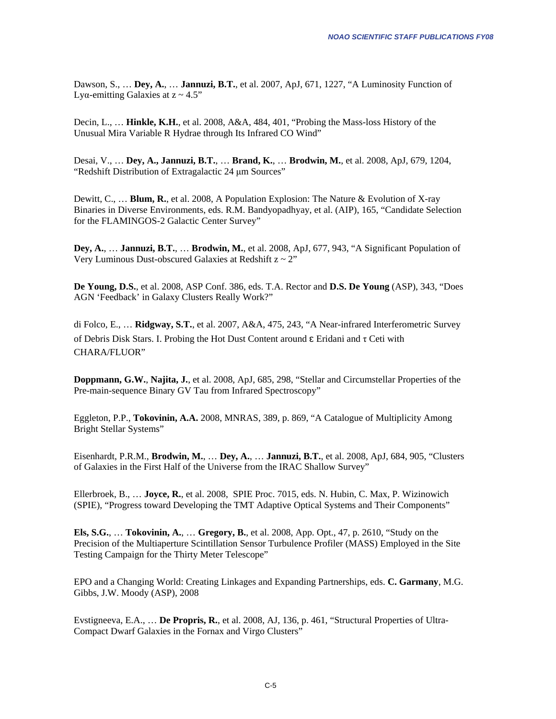Dawson, S., … **Dey, A.**, … **Jannuzi, B.T.**, et al. 2007, ApJ, 671, 1227, "A Luminosity Function of Lyα-emitting Galaxies at  $z \sim 4.5$ "

Decin, L., … **Hinkle, K.H.**, et al. 2008, A&A, 484, 401, "Probing the Mass-loss History of the Unusual Mira Variable R Hydrae through Its Infrared CO Wind"

Desai, V., … **Dey, A., Jannuzi, B.T.**, … **Brand, K.**, … **Brodwin, M.**, et al. 2008, ApJ, 679, 1204, "Redshift Distribution of Extragalactic 24 μm Sources"

Dewitt, C., … **Blum, R.**, et al. 2008, A Population Explosion: The Nature & Evolution of X-ray Binaries in Diverse Environments, eds. R.M. Bandyopadhyay, et al. (AIP), 165, "Candidate Selection for the FLAMINGOS-2 Galactic Center Survey"

**Dey, A.**, … **Jannuzi, B.T.**, … **Brodwin, M.**, et al. 2008, ApJ, 677, 943, "A Significant Population of Very Luminous Dust-obscured Galaxies at Redshift  $z \sim 2$ "

**De Young, D.S.**, et al. 2008, ASP Conf. 386, eds. T.A. Rector and **D.S. De Young** (ASP), 343, "Does AGN 'Feedback' in Galaxy Clusters Really Work?"

di Folco, E., … **Ridgway, S.T.**, et al. 2007, A&A, 475, 243, "A Near-infrared Interferometric Survey of Debris Disk Stars. I. Probing the Hot Dust Content around  $\epsilon$  Eridani and  $\tau$  Ceti with CHARA/FLUOR"

**Doppmann, G.W.**, **Najita, J.**, et al. 2008, ApJ, 685, 298, "Stellar and Circumstellar Properties of the Pre-main-sequence Binary GV Tau from Infrared Spectroscopy"

Eggleton, P.P., **Tokovinin, A.A.** 2008, MNRAS, 389, p. 869, "A Catalogue of Multiplicity Among Bright Stellar Systems"

Eisenhardt, P.R.M., **Brodwin, M.**, … **Dey, A.**, … **Jannuzi, B.T.**, et al. 2008, ApJ, 684, 905, "Clusters of Galaxies in the First Half of the Universe from the IRAC Shallow Survey"

Ellerbroek, B., … **Joyce, R.**, et al. 2008, SPIE Proc. 7015, eds. N. Hubin, C. Max, P. Wizinowich (SPIE), "Progress toward Developing the TMT Adaptive Optical Systems and Their Components"

**Els, S.G.**, … **Tokovinin, A.**, … **Gregory, B.**, et al. 2008, App. Opt., 47, p. 2610, "Study on the Precision of the Multiaperture Scintillation Sensor Turbulence Profiler (MASS) Employed in the Site Testing Campaign for the Thirty Meter Telescope"

EPO and a Changing World: Creating Linkages and Expanding Partnerships, eds. **C. Garmany**, M.G. Gibbs, J.W. Moody (ASP), 2008

Evstigneeva, E.A., … **De Propris, R.**, et al. 2008, AJ, 136, p. 461, "Structural Properties of Ultra-Compact Dwarf Galaxies in the Fornax and Virgo Clusters"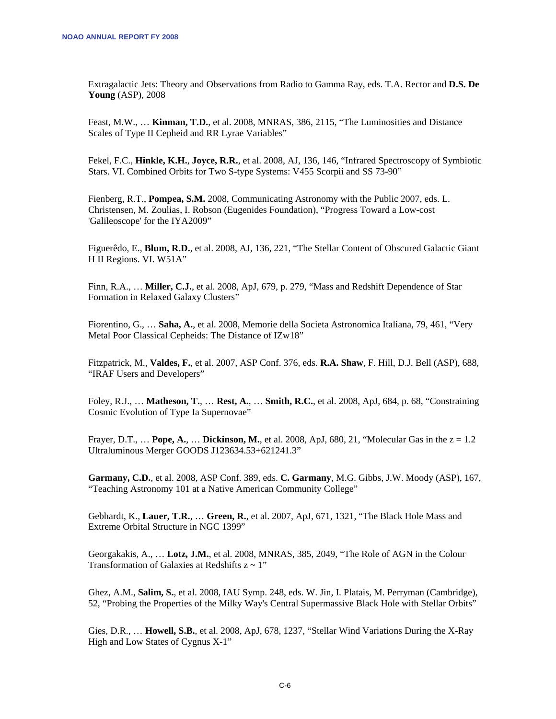Extragalactic Jets: Theory and Observations from Radio to Gamma Ray, eds. T.A. Rector and **D.S. De Young** (ASP), 2008

Feast, M.W., … **Kinman, T.D.**, et al. 2008, MNRAS, 386, 2115, "The Luminosities and Distance Scales of Type II Cepheid and RR Lyrae Variables"

Fekel, F.C., **Hinkle, K.H.**, **Joyce, R.R.**, et al. 2008, AJ, 136, 146, "Infrared Spectroscopy of Symbiotic Stars. VI. Combined Orbits for Two S-type Systems: V455 Scorpii and SS 73-90"

Fienberg, R.T., **Pompea, S.M.** 2008, Communicating Astronomy with the Public 2007, eds. L. Christensen, M. Zoulias, I. Robson (Eugenides Foundation), "Progress Toward a Low-cost 'Galileoscope' for the IYA2009"

Figuerêdo, E., **Blum, R.D.**, et al. 2008, AJ, 136, 221, "The Stellar Content of Obscured Galactic Giant H II Regions. VI. W51A"

Finn, R.A., … **Miller, C.J.**, et al. 2008, ApJ, 679, p. 279, "Mass and Redshift Dependence of Star Formation in Relaxed Galaxy Clusters"

Fiorentino, G., … **Saha, A.**, et al. 2008, Memorie della Societa Astronomica Italiana, 79, 461, "Very Metal Poor Classical Cepheids: The Distance of IZw18"

Fitzpatrick, M., **Valdes, F.**, et al. 2007, ASP Conf. 376, eds. **R.A. Shaw**, F. Hill, D.J. Bell (ASP), 688, "IRAF Users and Developers"

Foley, R.J., … **Matheson, T.**, … **Rest, A.**, … **Smith, R.C.**, et al. 2008, ApJ, 684, p. 68, "Constraining Cosmic Evolution of Type Ia Supernovae"

Frayer, D.T., … **Pope, A.**, … **Dickinson, M.**, et al. 2008, ApJ, 680, 21, "Molecular Gas in the z = 1.2 Ultraluminous Merger GOODS J123634.53+621241.3"

**Garmany, C.D.**, et al. 2008, ASP Conf. 389, eds. **C. Garmany**, M.G. Gibbs, J.W. Moody (ASP), 167, "Teaching Astronomy 101 at a Native American Community College"

Gebhardt, K., **Lauer, T.R.**, … **Green, R.**, et al. 2007, ApJ, 671, 1321, "The Black Hole Mass and Extreme Orbital Structure in NGC 1399"

Georgakakis, A., … **Lotz, J.M.**, et al. 2008, MNRAS, 385, 2049, "The Role of AGN in the Colour Transformation of Galaxies at Redshifts  $z \sim 1$ "

Ghez, A.M., **Salim, S.**, et al. 2008, IAU Symp. 248, eds. W. Jin, I. Platais, M. Perryman (Cambridge), 52, "Probing the Properties of the Milky Way's Central Supermassive Black Hole with Stellar Orbits"

Gies, D.R., … **Howell, S.B.**, et al. 2008, ApJ, 678, 1237, "Stellar Wind Variations During the X-Ray High and Low States of Cygnus X-1"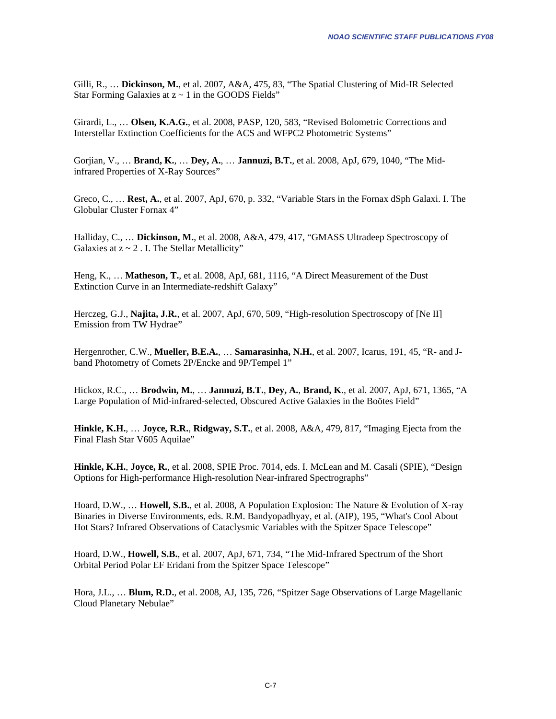Gilli, R., … **Dickinson, M.**, et al. 2007, A&A, 475, 83, "The Spatial Clustering of Mid-IR Selected Star Forming Galaxies at  $z \sim 1$  in the GOODS Fields"

Girardi, L., ... **Olsen, K.A.G.**, et al. 2008, PASP, 120, 583, "Revised Bolometric Corrections and Interstellar Extinction Coefficients for the ACS and WFPC2 Photometric Systems"

Gorjian, V., … **Brand, K.**, … **Dey, A.**, … **Jannuzi, B.T.**, et al. 2008, ApJ, 679, 1040, "The Midinfrared Properties of X-Ray Sources"

Greco, C., … **Rest, A.**, et al. 2007, ApJ, 670, p. 332, "Variable Stars in the Fornax dSph Galaxi. I. The Globular Cluster Fornax 4"

Halliday, C., … **Dickinson, M.**, et al. 2008, A&A, 479, 417, "GMASS Ultradeep Spectroscopy of Galaxies at  $z \sim 2$ . I. The Stellar Metallicity"

Heng, K., … **Matheson, T.**, et al. 2008, ApJ, 681, 1116, "A Direct Measurement of the Dust Extinction Curve in an Intermediate-redshift Galaxy"

Herczeg, G.J., **Najita, J.R.**, et al. 2007, ApJ, 670, 509, "High-resolution Spectroscopy of [Ne II] Emission from TW Hydrae"

Hergenrother, C.W., **Mueller, B.E.A.**, … **Samarasinha, N.H.**, et al. 2007, Icarus, 191, 45, "R- and Jband Photometry of Comets 2P/Encke and 9P/Tempel 1"

Hickox, R.C., … **Brodwin, M.**, … **Jannuzi, B.T.**, **Dey, A.**, **Brand, K**., et al. 2007, ApJ, 671, 1365, "A Large Population of Mid-infrared-selected, Obscured Active Galaxies in the Boötes Field"

**Hinkle, K.H.**, … **Joyce, R.R.**, **Ridgway, S.T.**, et al. 2008, A&A, 479, 817, "Imaging Ejecta from the Final Flash Star V605 Aquilae"

**Hinkle, K.H.**, **Joyce, R.**, et al. 2008, SPIE Proc. 7014, eds. I. McLean and M. Casali (SPIE), "Design Options for High-performance High-resolution Near-infrared Spectrographs"

Hoard, D.W., … **Howell, S.B.**, et al. 2008, A Population Explosion: The Nature & Evolution of X-ray Binaries in Diverse Environments, eds. R.M. Bandyopadhyay, et al. (AIP), 195, "What's Cool About Hot Stars? Infrared Observations of Cataclysmic Variables with the Spitzer Space Telescope"

Hoard, D.W., **Howell, S.B.**, et al. 2007, ApJ, 671, 734, "The Mid-Infrared Spectrum of the Short Orbital Period Polar EF Eridani from the Spitzer Space Telescope"

Hora, J.L., … **Blum, R.D.**, et al. 2008, AJ, 135, 726, "Spitzer Sage Observations of Large Magellanic Cloud Planetary Nebulae"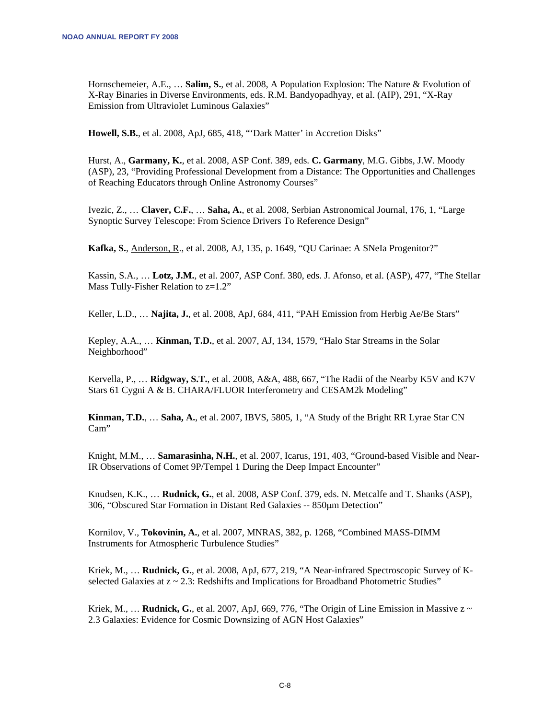Hornschemeier, A.E., … **Salim, S.**, et al. 2008, A Population Explosion: The Nature & Evolution of X-Ray Binaries in Diverse Environments, eds. R.M. Bandyopadhyay, et al. (AIP), 291, "X-Ray Emission from Ultraviolet Luminous Galaxies"

**Howell, S.B.**, et al. 2008, ApJ, 685, 418, "'Dark Matter' in Accretion Disks"

Hurst, A., **Garmany, K.**, et al. 2008, ASP Conf. 389, eds. **C. Garmany**, M.G. Gibbs, J.W. Moody (ASP), 23, "Providing Professional Development from a Distance: The Opportunities and Challenges of Reaching Educators through Online Astronomy Courses"

Ivezic, Z., … **Claver, C.F.**, … **Saha, A.**, et al. 2008, Serbian Astronomical Journal, 176, 1, "Large Synoptic Survey Telescope: From Science Drivers To Reference Design"

**Kafka, S.**, Anderson, R., et al. 2008, AJ, 135, p. 1649, "QU Carinae: A SNeIa Progenitor?"

Kassin, S.A., … **Lotz, J.M.**, et al. 2007, ASP Conf. 380, eds. J. Afonso, et al. (ASP), 477, "The Stellar Mass Tully-Fisher Relation to  $z=1.2$ "

Keller, L.D., … **Najita, J.**, et al. 2008, ApJ, 684, 411, "PAH Emission from Herbig Ae/Be Stars"

Kepley, A.A., … **Kinman, T.D.**, et al. 2007, AJ, 134, 1579, "Halo Star Streams in the Solar Neighborhood"

Kervella, P., … **Ridgway, S.T.**, et al. 2008, A&A, 488, 667, "The Radii of the Nearby K5V and K7V Stars 61 Cygni A & B. CHARA/FLUOR Interferometry and CESAM2k Modeling"

**Kinman, T.D.**, … **Saha, A.**, et al. 2007, IBVS, 5805, 1, "A Study of the Bright RR Lyrae Star CN Cam"

Knight, M.M., … **Samarasinha, N.H.**, et al. 2007, Icarus, 191, 403, "Ground-based Visible and Near-IR Observations of Comet 9P/Tempel 1 During the Deep Impact Encounter"

Knudsen, K.K., … **Rudnick, G.**, et al. 2008, ASP Conf. 379, eds. N. Metcalfe and T. Shanks (ASP), 306, "Obscured Star Formation in Distant Red Galaxies -- 850μm Detection"

Kornilov, V., **Tokovinin, A.**, et al. 2007, MNRAS, 382, p. 1268, "Combined MASS-DIMM Instruments for Atmospheric Turbulence Studies"

Kriek, M., … **Rudnick, G.**, et al. 2008, ApJ, 677, 219, "A Near-infrared Spectroscopic Survey of Kselected Galaxies at  $z \sim 2.3$ : Redshifts and Implications for Broadband Photometric Studies"

Kriek, M.,  $\ldots$  **Rudnick, G.**, et al. 2007, ApJ, 669, 776, "The Origin of Line Emission in Massive  $z \sim$ 2.3 Galaxies: Evidence for Cosmic Downsizing of AGN Host Galaxies"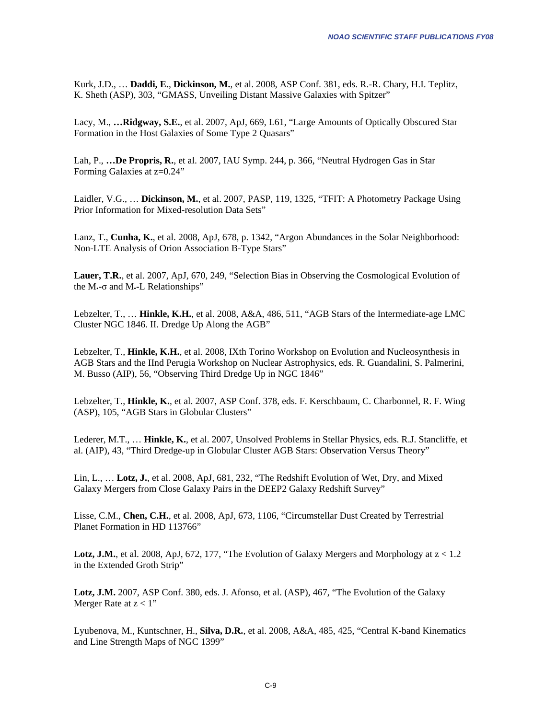Kurk, J.D., … **Daddi, E.**, **Dickinson, M.**, et al. 2008, ASP Conf. 381, eds. R.-R. Chary, H.I. Teplitz, K. Sheth (ASP), 303, "GMASS, Unveiling Distant Massive Galaxies with Spitzer"

Lacy, M., **…Ridgway, S.E.**, et al. 2007, ApJ, 669, L61, "Large Amounts of Optically Obscured Star Formation in the Host Galaxies of Some Type 2 Quasars"

Lah, P., **…De Propris, R.**, et al. 2007, IAU Symp. 244, p. 366, "Neutral Hydrogen Gas in Star Forming Galaxies at z=0.24"

Laidler, V.G., … **Dickinson, M.**, et al. 2007, PASP, 119, 1325, "TFIT: A Photometry Package Using Prior Information for Mixed-resolution Data Sets"

Lanz, T., **Cunha, K.**, et al. 2008, ApJ, 678, p. 1342, "Argon Abundances in the Solar Neighborhood: Non-LTE Analysis of Orion Association B-Type Stars"

**Lauer, T.R.**, et al. 2007, ApJ, 670, 249, "Selection Bias in Observing the Cosmological Evolution of the  $M$ - $\sigma$  and  $M$ -L Relationships"

Lebzelter, T., … **Hinkle, K.H.**, et al. 2008, A&A, 486, 511, "AGB Stars of the Intermediate-age LMC Cluster NGC 1846. II. Dredge Up Along the AGB"

Lebzelter, T., **Hinkle, K.H.**, et al. 2008, IXth Torino Workshop on Evolution and Nucleosynthesis in AGB Stars and the IInd Perugia Workshop on Nuclear Astrophysics, eds. R. Guandalini, S. Palmerini, M. Busso (AIP), 56, "Observing Third Dredge Up in NGC 1846"

Lebzelter, T., **Hinkle, K.**, et al. 2007, ASP Conf. 378, eds. F. Kerschbaum, C. Charbonnel, R. F. Wing (ASP), 105, "AGB Stars in Globular Clusters"

Lederer, M.T., … **Hinkle, K.**, et al. 2007, Unsolved Problems in Stellar Physics, eds. R.J. Stancliffe, et al. (AIP), 43, "Third Dredge-up in Globular Cluster AGB Stars: Observation Versus Theory"

Lin, L., … **Lotz, J.**, et al. 2008, ApJ, 681, 232, "The Redshift Evolution of Wet, Dry, and Mixed Galaxy Mergers from Close Galaxy Pairs in the DEEP2 Galaxy Redshift Survey"

Lisse, C.M., **Chen, C.H.**, et al. 2008, ApJ, 673, 1106, "Circumstellar Dust Created by Terrestrial Planet Formation in HD 113766"

**Lotz, J.M.**, et al. 2008, ApJ, 672, 177, "The Evolution of Galaxy Mergers and Morphology at  $z < 1.2$ " in the Extended Groth Strip"

**Lotz, J.M.** 2007, ASP Conf. 380, eds. J. Afonso, et al. (ASP), 467, "The Evolution of the Galaxy Merger Rate at  $z < 1$ "

Lyubenova, M., Kuntschner, H., **Silva, D.R.**, et al. 2008, A&A, 485, 425, "Central K-band Kinematics and Line Strength Maps of NGC 1399"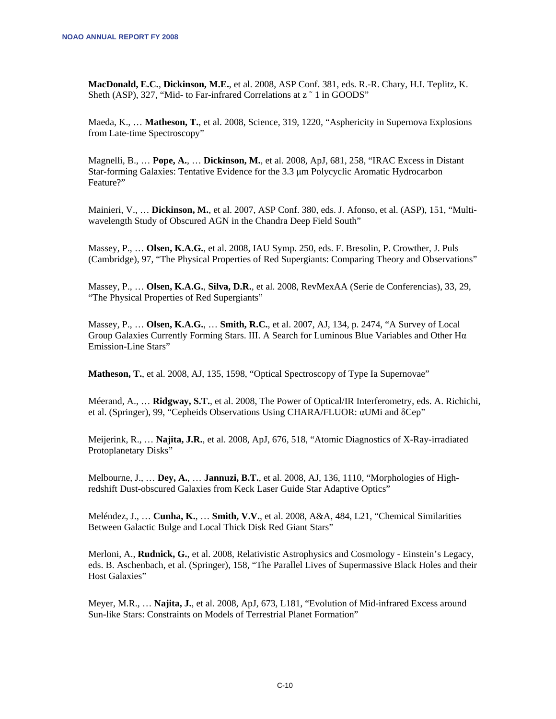**MacDonald, E.C.**, **Dickinson, M.E.**, et al. 2008, ASP Conf. 381, eds. R.-R. Chary, H.I. Teplitz, K. Sheth (ASP), 327, "Mid- to Far-infrared Correlations at z ~ 1 in GOODS"

Maeda, K., … **Matheson, T.**, et al. 2008, Science, 319, 1220, "Asphericity in Supernova Explosions from Late-time Spectroscopy"

Magnelli, B., … **Pope, A.**, … **Dickinson, M.**, et al. 2008, ApJ, 681, 258, "IRAC Excess in Distant Star-forming Galaxies: Tentative Evidence for the 3.3 μm Polycyclic Aromatic Hydrocarbon Feature?"

Mainieri, V., … **Dickinson, M.**, et al. 2007, ASP Conf. 380, eds. J. Afonso, et al. (ASP), 151, "Multiwavelength Study of Obscured AGN in the Chandra Deep Field South"

Massey, P., … **Olsen, K.A.G.**, et al. 2008, IAU Symp. 250, eds. F. Bresolin, P. Crowther, J. Puls (Cambridge), 97, "The Physical Properties of Red Supergiants: Comparing Theory and Observations"

Massey, P., … **Olsen, K.A.G.**, **Silva, D.R.**, et al. 2008, RevMexAA (Serie de Conferencias), 33, 29, "The Physical Properties of Red Supergiants"

Massey, P., … **Olsen, K.A.G.**, … **Smith, R.C.**, et al. 2007, AJ, 134, p. 2474, "A Survey of Local Group Galaxies Currently Forming Stars. III. A Search for Luminous Blue Variables and Other Hα Emission-Line Stars"

**Matheson, T.**, et al. 2008, AJ, 135, 1598, "Optical Spectroscopy of Type Ia Supernovae"

Méerand, A., … **Ridgway, S.T.**, et al. 2008, The Power of Optical/IR Interferometry, eds. A. Richichi, et al. (Springer), 99, "Cepheids Observations Using CHARA/FLUOR: αUMi and δCep"

Meijerink, R., … **Najita, J.R.**, et al. 2008, ApJ, 676, 518, "Atomic Diagnostics of X-Ray-irradiated Protoplanetary Disks"

Melbourne, J., … **Dey, A.**, … **Jannuzi, B.T.**, et al. 2008, AJ, 136, 1110, "Morphologies of Highredshift Dust-obscured Galaxies from Keck Laser Guide Star Adaptive Optics"

Meléndez, J., … **Cunha, K.**, … **Smith, V.V.**, et al. 2008, A&A, 484, L21, "Chemical Similarities Between Galactic Bulge and Local Thick Disk Red Giant Stars"

Merloni, A., **Rudnick, G.**, et al. 2008, Relativistic Astrophysics and Cosmology - Einstein's Legacy, eds. B. Aschenbach, et al. (Springer), 158, "The Parallel Lives of Supermassive Black Holes and their Host Galaxies"

Meyer, M.R., … **Najita, J.**, et al. 2008, ApJ, 673, L181, "Evolution of Mid-infrared Excess around Sun-like Stars: Constraints on Models of Terrestrial Planet Formation"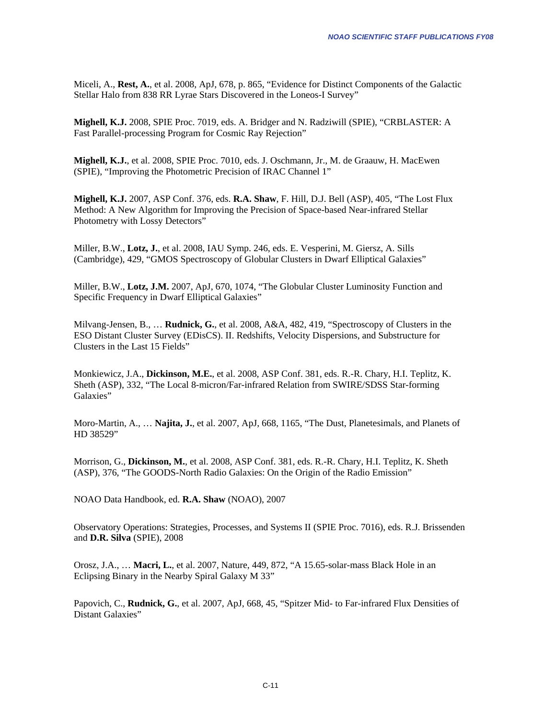Miceli, A., **Rest, A.**, et al. 2008, ApJ, 678, p. 865, "Evidence for Distinct Components of the Galactic Stellar Halo from 838 RR Lyrae Stars Discovered in the Loneos-I Survey"

**Mighell, K.J.** 2008, SPIE Proc. 7019, eds. A. Bridger and N. Radziwill (SPIE), "CRBLASTER: A Fast Parallel-processing Program for Cosmic Ray Rejection"

**Mighell, K.J.**, et al. 2008, SPIE Proc. 7010, eds. J. Oschmann, Jr., M. de Graauw, H. MacEwen (SPIE), "Improving the Photometric Precision of IRAC Channel 1"

**Mighell, K.J.** 2007, ASP Conf. 376, eds. **R.A. Shaw**, F. Hill, D.J. Bell (ASP), 405, "The Lost Flux Method: A New Algorithm for Improving the Precision of Space-based Near-infrared Stellar Photometry with Lossy Detectors"

Miller, B.W., **Lotz, J.**, et al. 2008, IAU Symp. 246, eds. E. Vesperini, M. Giersz, A. Sills (Cambridge), 429, "GMOS Spectroscopy of Globular Clusters in Dwarf Elliptical Galaxies"

Miller, B.W., **Lotz, J.M.** 2007, ApJ, 670, 1074, "The Globular Cluster Luminosity Function and Specific Frequency in Dwarf Elliptical Galaxies"

Milvang-Jensen, B., … **Rudnick, G.**, et al. 2008, A&A, 482, 419, "Spectroscopy of Clusters in the ESO Distant Cluster Survey (EDisCS). II. Redshifts, Velocity Dispersions, and Substructure for Clusters in the Last 15 Fields"

Monkiewicz, J.A., **Dickinson, M.E.**, et al. 2008, ASP Conf. 381, eds. R.-R. Chary, H.I. Teplitz, K. Sheth (ASP), 332, "The Local 8-micron/Far-infrared Relation from SWIRE/SDSS Star-forming Galaxies"

Moro-Martin, A., … **Najita, J.**, et al. 2007, ApJ, 668, 1165, "The Dust, Planetesimals, and Planets of HD 38529"

Morrison, G., **Dickinson, M.**, et al. 2008, ASP Conf. 381, eds. R.-R. Chary, H.I. Teplitz, K. Sheth (ASP), 376, "The GOODS-North Radio Galaxies: On the Origin of the Radio Emission"

NOAO Data Handbook, ed. **R.A. Shaw** (NOAO), 2007

Observatory Operations: Strategies, Processes, and Systems II (SPIE Proc. 7016), eds. R.J. Brissenden and **D.R. Silva** (SPIE), 2008

Orosz, J.A., … **Macri, L.**, et al. 2007, Nature, 449, 872, "A 15.65-solar-mass Black Hole in an Eclipsing Binary in the Nearby Spiral Galaxy M 33"

Papovich, C., **Rudnick, G.**, et al. 2007, ApJ, 668, 45, "Spitzer Mid- to Far-infrared Flux Densities of Distant Galaxies"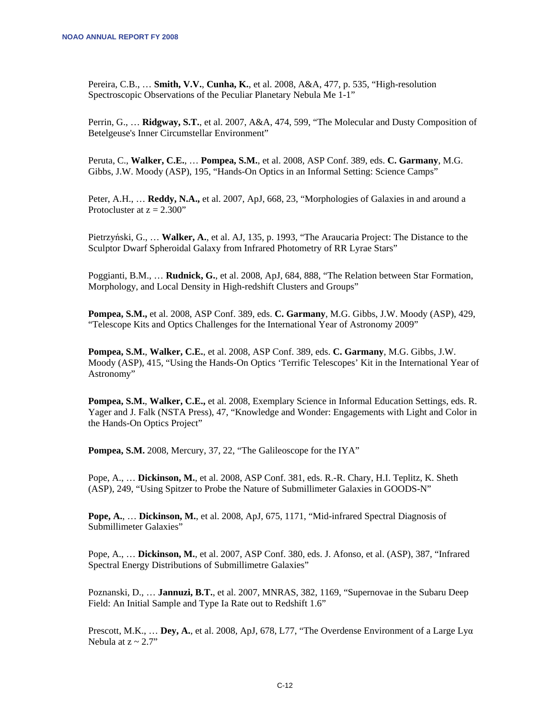Pereira, C.B., … **Smith, V.V.**, **Cunha, K.**, et al. 2008, A&A, 477, p. 535, "High-resolution Spectroscopic Observations of the Peculiar Planetary Nebula Me 1-1"

Perrin, G., … **Ridgway, S.T.**, et al. 2007, A&A, 474, 599, "The Molecular and Dusty Composition of Betelgeuse's Inner Circumstellar Environment"

Peruta, C., **Walker, C.E.**, … **Pompea, S.M.**, et al. 2008, ASP Conf. 389, eds. **C. Garmany**, M.G. Gibbs, J.W. Moody (ASP), 195, "Hands-On Optics in an Informal Setting: Science Camps"

Peter, A.H., … **Reddy, N.A.,** et al. 2007, ApJ, 668, 23, "Morphologies of Galaxies in and around a Protocluster at  $z = 2.300"$ 

Pietrzyński, G., … **Walker, A.**, et al. AJ, 135, p. 1993, "The Araucaria Project: The Distance to the Sculptor Dwarf Spheroidal Galaxy from Infrared Photometry of RR Lyrae Stars"

Poggianti, B.M., … **Rudnick, G.**, et al. 2008, ApJ, 684, 888, "The Relation between Star Formation, Morphology, and Local Density in High-redshift Clusters and Groups"

**Pompea, S.M.,** et al. 2008, ASP Conf. 389, eds. **C. Garmany**, M.G. Gibbs, J.W. Moody (ASP), 429, "Telescope Kits and Optics Challenges for the International Year of Astronomy 2009"

**Pompea, S.M.**, **Walker, C.E.**, et al. 2008, ASP Conf. 389, eds. **C. Garmany**, M.G. Gibbs, J.W. Moody (ASP), 415, "Using the Hands-On Optics 'Terrific Telescopes' Kit in the International Year of Astronomy"

**Pompea, S.M.**, **Walker, C.E.,** et al. 2008, Exemplary Science in Informal Education Settings, eds. R. Yager and J. Falk (NSTA Press), 47, "Knowledge and Wonder: Engagements with Light and Color in the Hands-On Optics Project"

**Pompea, S.M.** 2008, Mercury, 37, 22, "The Galileoscope for the IYA"

Pope, A., … **Dickinson, M.**, et al. 2008, ASP Conf. 381, eds. R.-R. Chary, H.I. Teplitz, K. Sheth (ASP), 249, "Using Spitzer to Probe the Nature of Submillimeter Galaxies in GOODS-N"

**Pope, A.**, … **Dickinson, M.**, et al. 2008, ApJ, 675, 1171, "Mid-infrared Spectral Diagnosis of Submillimeter Galaxies"

Pope, A., … **Dickinson, M.**, et al. 2007, ASP Conf. 380, eds. J. Afonso, et al. (ASP), 387, "Infrared Spectral Energy Distributions of Submillimetre Galaxies"

Poznanski, D., … **Jannuzi, B.T.**, et al. 2007, MNRAS, 382, 1169, "Supernovae in the Subaru Deep Field: An Initial Sample and Type Ia Rate out to Redshift 1.6"

Prescott, M.K., … **Dey, A.**, et al. 2008, ApJ, 678, L77, "The Overdense Environment of a Large Lyα Nebula at  $z \sim 2.7$ "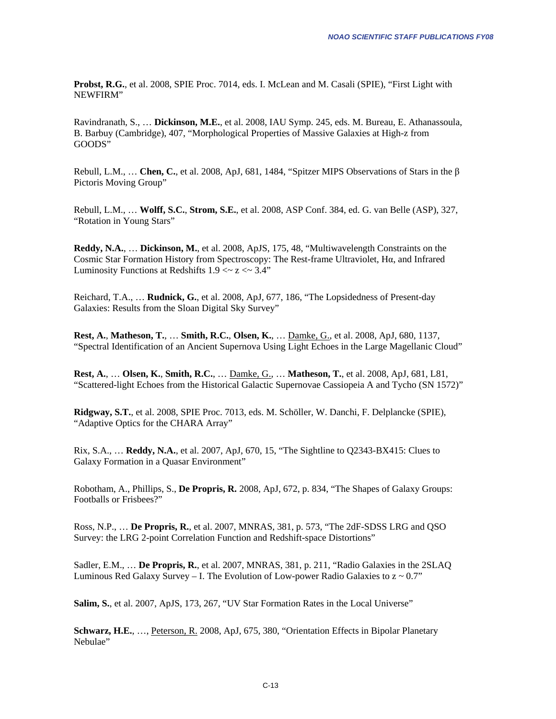**Probst, R.G.**, et al. 2008, SPIE Proc. 7014, eds. I. McLean and M. Casali (SPIE), "First Light with NEWFIRM"

Ravindranath, S., … **Dickinson, M.E.**, et al. 2008, IAU Symp. 245, eds. M. Bureau, E. Athanassoula, B. Barbuy (Cambridge), 407, "Morphological Properties of Massive Galaxies at High-z from GOODS"

Rebull, L.M., … **Chen, C.**, et al. 2008, ApJ, 681, 1484, "Spitzer MIPS Observations of Stars in the β Pictoris Moving Group"

Rebull, L.M., … **Wolff, S.C.**, **Strom, S.E.**, et al. 2008, ASP Conf. 384, ed. G. van Belle (ASP), 327, "Rotation in Young Stars"

**Reddy, N.A.**, … **Dickinson, M.**, et al. 2008, ApJS, 175, 48, "Multiwavelength Constraints on the Cosmic Star Formation History from Spectroscopy: The Rest-frame Ultraviolet, Hα, and Infrared Luminosity Functions at Redshifts  $1.9 < z < 3.4$ "

Reichard, T.A., … **Rudnick, G.**, et al. 2008, ApJ, 677, 186, "The Lopsidedness of Present-day Galaxies: Results from the Sloan Digital Sky Survey"

**Rest, A.**, **Matheson, T.**, … **Smith, R.C.**, **Olsen, K.**, … Damke, G., et al. 2008, ApJ, 680, 1137, "Spectral Identification of an Ancient Supernova Using Light Echoes in the Large Magellanic Cloud"

**Rest, A.**, … **Olsen, K.**, **Smith, R.C.**, … Damke, G., … **Matheson, T.**, et al. 2008, ApJ, 681, L81, "Scattered-light Echoes from the Historical Galactic Supernovae Cassiopeia A and Tycho (SN 1572)"

**Ridgway, S.T.**, et al. 2008, SPIE Proc. 7013, eds. M. Schöller, W. Danchi, F. Delplancke (SPIE), "Adaptive Optics for the CHARA Array"

Rix, S.A., … **Reddy, N.A.**, et al. 2007, ApJ, 670, 15, "The Sightline to Q2343-BX415: Clues to Galaxy Formation in a Quasar Environment"

Robotham, A., Phillips, S., **De Propris, R.** 2008, ApJ, 672, p. 834, "The Shapes of Galaxy Groups: Footballs or Frisbees?"

Ross, N.P., … **De Propris, R.**, et al. 2007, MNRAS, 381, p. 573, "The 2dF-SDSS LRG and QSO Survey: the LRG 2-point Correlation Function and Redshift-space Distortions"

Sadler, E.M., … **De Propris, R.**, et al. 2007, MNRAS, 381, p. 211, "Radio Galaxies in the 2SLAQ Luminous Red Galaxy Survey – I. The Evolution of Low-power Radio Galaxies to  $z \sim 0.7$ "

**Salim, S.**, et al. 2007, ApJS, 173, 267, "UV Star Formation Rates in the Local Universe"

**Schwarz, H.E.**, …, Peterson, R. 2008, ApJ, 675, 380, "Orientation Effects in Bipolar Planetary Nebulae"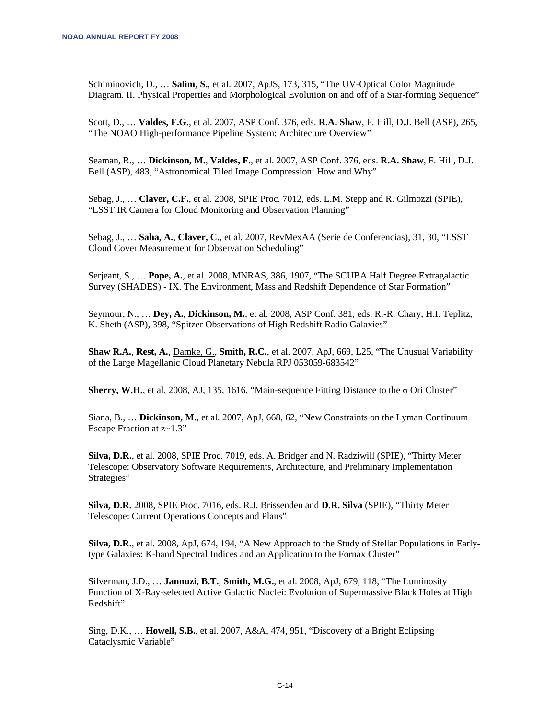Schiminovich, D., … **Salim, S.**, et al. 2007, ApJS, 173, 315, "The UV-Optical Color Magnitude Diagram. II. Physical Properties and Morphological Evolution on and off of a Star-forming Sequence"

Scott, D., … **Valdes, F.G.**, et al. 2007, ASP Conf. 376, eds. **R.A. Shaw**, F. Hill, D.J. Bell (ASP), 265, "The NOAO High-performance Pipeline System: Architecture Overview"

Seaman, R., … **Dickinson, M.**, **Valdes, F.**, et al. 2007, ASP Conf. 376, eds. **R.A. Shaw**, F. Hill, D.J. Bell (ASP), 483, "Astronomical Tiled Image Compression: How and Why"

Sebag, J., … **Claver, C.F.**, et al. 2008, SPIE Proc. 7012, eds. L.M. Stepp and R. Gilmozzi (SPIE), "LSST IR Camera for Cloud Monitoring and Observation Planning"

Sebag, J., … **Saha, A.**, **Claver, C.**, et al. 2007, RevMexAA (Serie de Conferencias), 31, 30, "LSST Cloud Cover Measurement for Observation Scheduling"

Serjeant, S., … **Pope, A.**, et al. 2008, MNRAS, 386, 1907, "The SCUBA Half Degree Extragalactic Survey (SHADES) - IX. The Environment, Mass and Redshift Dependence of Star Formation"

Seymour, N., … **Dey, A.**, **Dickinson, M.**, et al. 2008, ASP Conf. 381, eds. R.-R. Chary, H.I. Teplitz, K. Sheth (ASP), 398, "Spitzer Observations of High Redshift Radio Galaxies"

**Shaw R.A.**, **Rest, A.**, Damke, G., **Smith, R.C.**, et al. 2007, ApJ, 669, L25, "The Unusual Variability of the Large Magellanic Cloud Planetary Nebula RPJ 053059-683542"

**Sherry, W.H.**, et al. 2008, AJ, 135, 1616, "Main-sequence Fitting Distance to the  $\sigma$  Ori Cluster"

Siana, B., … **Dickinson, M.**, et al. 2007, ApJ, 668, 62, "New Constraints on the Lyman Continuum Escape Fraction at z~1.3"

**Silva, D.R.**, et al. 2008, SPIE Proc. 7019, eds. A. Bridger and N. Radziwill (SPIE), "Thirty Meter Telescope: Observatory Software Requirements, Architecture, and Preliminary Implementation Strategies"

**Silva, D.R.** 2008, SPIE Proc. 7016, eds. R.J. Brissenden and **D.R. Silva** (SPIE), "Thirty Meter Telescope: Current Operations Concepts and Plans"

**Silva, D.R.**, et al. 2008, ApJ, 674, 194, "A New Approach to the Study of Stellar Populations in Earlytype Galaxies: K-band Spectral Indices and an Application to the Fornax Cluster"

Silverman, J.D., … **Jannuzi, B.T.**, **Smith, M.G.**, et al. 2008, ApJ, 679, 118, "The Luminosity Function of X-Ray-selected Active Galactic Nuclei: Evolution of Supermassive Black Holes at High Redshift"

Sing, D.K., … **Howell, S.B.**, et al. 2007, A&A, 474, 951, "Discovery of a Bright Eclipsing Cataclysmic Variable"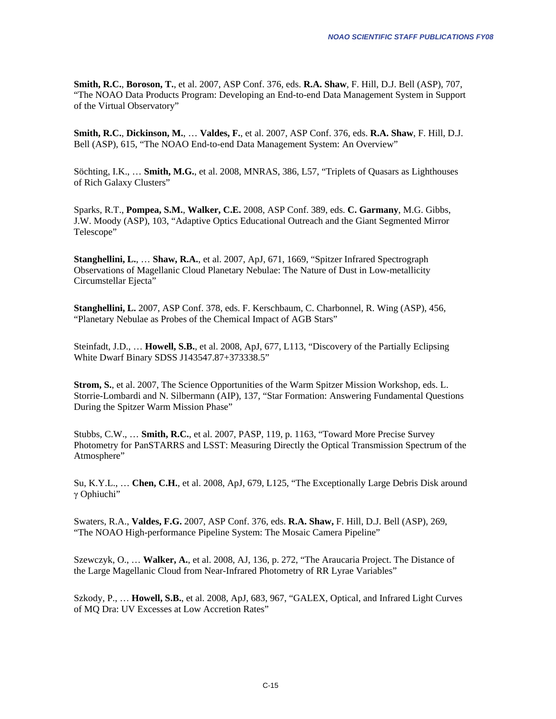**Smith, R.C.**, **Boroson, T.**, et al. 2007, ASP Conf. 376, eds. **R.A. Shaw**, F. Hill, D.J. Bell (ASP), 707, "The NOAO Data Products Program: Developing an End-to-end Data Management System in Support of the Virtual Observatory"

**Smith, R.C.**, **Dickinson, M.**, … **Valdes, F.**, et al. 2007, ASP Conf. 376, eds. **R.A. Shaw**, F. Hill, D.J. Bell (ASP), 615, "The NOAO End-to-end Data Management System: An Overview"

Söchting, I.K., … **Smith, M.G.**, et al. 2008, MNRAS, 386, L57, "Triplets of Quasars as Lighthouses of Rich Galaxy Clusters"

Sparks, R.T., **Pompea, S.M.**, **Walker, C.E.** 2008, ASP Conf. 389, eds. **C. Garmany**, M.G. Gibbs, J.W. Moody (ASP), 103, "Adaptive Optics Educational Outreach and the Giant Segmented Mirror Telescope"

**Stanghellini, L.**, … **Shaw, R.A.**, et al. 2007, ApJ, 671, 1669, "Spitzer Infrared Spectrograph Observations of Magellanic Cloud Planetary Nebulae: The Nature of Dust in Low-metallicity Circumstellar Ejecta"

**Stanghellini, L.** 2007, ASP Conf. 378, eds. F. Kerschbaum, C. Charbonnel, R. Wing (ASP), 456, "Planetary Nebulae as Probes of the Chemical Impact of AGB Stars"

Steinfadt, J.D., … **Howell, S.B.**, et al. 2008, ApJ, 677, L113, "Discovery of the Partially Eclipsing White Dwarf Binary SDSS J143547.87+373338.5"

**Strom, S.**, et al. 2007, The Science Opportunities of the Warm Spitzer Mission Workshop, eds. L. Storrie-Lombardi and N. Silbermann (AIP), 137, "Star Formation: Answering Fundamental Questions During the Spitzer Warm Mission Phase"

Stubbs, C.W., … **Smith, R.C.**, et al. 2007, PASP, 119, p. 1163, "Toward More Precise Survey Photometry for PanSTARRS and LSST: Measuring Directly the Optical Transmission Spectrum of the Atmosphere"

Su, K.Y.L., … **Chen, C.H.**, et al. 2008, ApJ, 679, L125, "The Exceptionally Large Debris Disk around γ Ophiuchi"

Swaters, R.A., **Valdes, F.G.** 2007, ASP Conf. 376, eds. **R.A. Shaw,** F. Hill, D.J. Bell (ASP), 269, "The NOAO High-performance Pipeline System: The Mosaic Camera Pipeline"

Szewczyk, O., … **Walker, A.**, et al. 2008, AJ, 136, p. 272, "The Araucaria Project. The Distance of the Large Magellanic Cloud from Near-Infrared Photometry of RR Lyrae Variables"

Szkody, P., … **Howell, S.B.**, et al. 2008, ApJ, 683, 967, "GALEX, Optical, and Infrared Light Curves of MQ Dra: UV Excesses at Low Accretion Rates"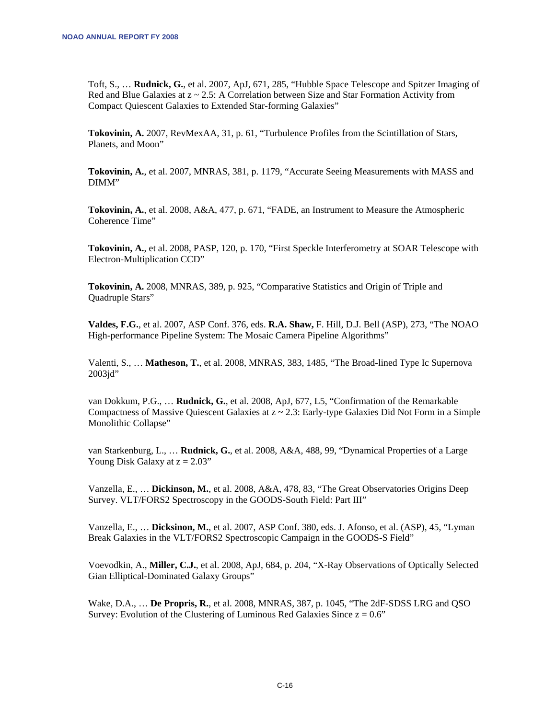Toft, S., … **Rudnick, G.**, et al. 2007, ApJ, 671, 285, "Hubble Space Telescope and Spitzer Imaging of Red and Blue Galaxies at z ~ 2.5: A Correlation between Size and Star Formation Activity from Compact Quiescent Galaxies to Extended Star-forming Galaxies"

**Tokovinin, A.** 2007, RevMexAA, 31, p. 61, "Turbulence Profiles from the Scintillation of Stars, Planets, and Moon"

**Tokovinin, A.**, et al. 2007, MNRAS, 381, p. 1179, "Accurate Seeing Measurements with MASS and DIMM"

**Tokovinin, A.**, et al. 2008, A&A, 477, p. 671, "FADE, an Instrument to Measure the Atmospheric Coherence Time"

**Tokovinin, A.**, et al. 2008, PASP, 120, p. 170, "First Speckle Interferometry at SOAR Telescope with Electron-Multiplication CCD"

**Tokovinin, A.** 2008, MNRAS, 389, p. 925, "Comparative Statistics and Origin of Triple and Quadruple Stars"

**Valdes, F.G.**, et al. 2007, ASP Conf. 376, eds. **R.A. Shaw,** F. Hill, D.J. Bell (ASP), 273, "The NOAO High-performance Pipeline System: The Mosaic Camera Pipeline Algorithms"

Valenti, S., … **Matheson, T.**, et al. 2008, MNRAS, 383, 1485, "The Broad-lined Type Ic Supernova 2003jd"

van Dokkum, P.G., … **Rudnick, G.**, et al. 2008, ApJ, 677, L5, "Confirmation of the Remarkable Compactness of Massive Quiescent Galaxies at z ~ 2.3: Early-type Galaxies Did Not Form in a Simple Monolithic Collapse"

van Starkenburg, L., … **Rudnick, G.**, et al. 2008, A&A, 488, 99, "Dynamical Properties of a Large Young Disk Galaxy at  $z = 2.03$ "

Vanzella, E., … **Dickinson, M.**, et al. 2008, A&A, 478, 83, "The Great Observatories Origins Deep Survey. VLT/FORS2 Spectroscopy in the GOODS-South Field: Part III"

Vanzella, E., … **Dicksinon, M.**, et al. 2007, ASP Conf. 380, eds. J. Afonso, et al. (ASP), 45, "Lyman Break Galaxies in the VLT/FORS2 Spectroscopic Campaign in the GOODS-S Field"

Voevodkin, A., **Miller, C.J.**, et al. 2008, ApJ, 684, p. 204, "X-Ray Observations of Optically Selected Gian Elliptical-Dominated Galaxy Groups"

Wake, D.A., … **De Propris, R.**, et al. 2008, MNRAS, 387, p. 1045, "The 2dF-SDSS LRG and QSO Survey: Evolution of the Clustering of Luminous Red Galaxies Since  $z = 0.6$ "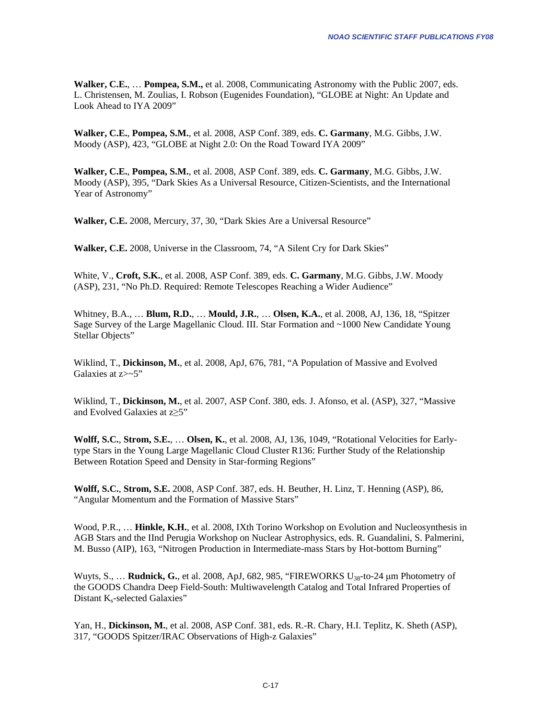**Walker, C.E.**, … **Pompea, S.M.,** et al. 2008, Communicating Astronomy with the Public 2007, eds. L. Christensen, M. Zoulias, I. Robson (Eugenides Foundation), "GLOBE at Night: An Update and Look Ahead to IYA 2009"

**Walker, C.E.**, **Pompea, S.M.**, et al. 2008, ASP Conf. 389, eds. **C. Garmany**, M.G. Gibbs, J.W. Moody (ASP), 423, "GLOBE at Night 2.0: On the Road Toward IYA 2009"

**Walker, C.E.**, **Pompea, S.M.**, et al. 2008, ASP Conf. 389, eds. **C. Garmany**, M.G. Gibbs, J.W. Moody (ASP), 395, "Dark Skies As a Universal Resource, Citizen-Scientists, and the International Year of Astronomy"

**Walker, C.E.** 2008, Mercury, 37, 30, "Dark Skies Are a Universal Resource"

**Walker, C.E.** 2008, Universe in the Classroom, 74, "A Silent Cry for Dark Skies"

White, V., **Croft, S.K.**, et al. 2008, ASP Conf. 389, eds. **C. Garmany**, M.G. Gibbs, J.W. Moody (ASP), 231, "No Ph.D. Required: Remote Telescopes Reaching a Wider Audience"

Whitney, B.A., … **Blum, R.D.**, … **Mould, J.R.**, … **Olsen, K.A.**, et al. 2008, AJ, 136, 18, "Spitzer Sage Survey of the Large Magellanic Cloud. III. Star Formation and ~1000 New Candidate Young Stellar Objects"

Wiklind, T., **Dickinson, M.**, et al. 2008, ApJ, 676, 781, "A Population of Massive and Evolved Galaxies at z>~5"

Wiklind, T., **Dickinson, M.**, et al. 2007, ASP Conf. 380, eds. J. Afonso, et al. (ASP), 327, "Massive and Evolved Galaxies at z≥5"

**Wolff, S.C.**, **Strom, S.E.**, … **Olsen, K.**, et al. 2008, AJ, 136, 1049, "Rotational Velocities for Earlytype Stars in the Young Large Magellanic Cloud Cluster R136: Further Study of the Relationship Between Rotation Speed and Density in Star-forming Regions"

**Wolff, S.C.**, **Strom, S.E.** 2008, ASP Conf. 387, eds. H. Beuther, H. Linz, T. Henning (ASP), 86, "Angular Momentum and the Formation of Massive Stars"

Wood, P.R., … **Hinkle, K.H.**, et al. 2008, IXth Torino Workshop on Evolution and Nucleosynthesis in AGB Stars and the IInd Perugia Workshop on Nuclear Astrophysics, eds. R. Guandalini, S. Palmerini, M. Busso (AIP), 163, "Nitrogen Production in Intermediate-mass Stars by Hot-bottom Burning"

Wuyts, S., … **Rudnick, G.**, et al. 2008, ApJ, 682, 985, "FIREWORKS U38-to-24 μm Photometry of the GOODS Chandra Deep Field-South: Multiwavelength Catalog and Total Infrared Properties of Distant K<sub>s</sub>-selected Galaxies"

Yan, H., **Dickinson, M.**, et al. 2008, ASP Conf. 381, eds. R.-R. Chary, H.I. Teplitz, K. Sheth (ASP), 317, "GOODS Spitzer/IRAC Observations of High-z Galaxies"